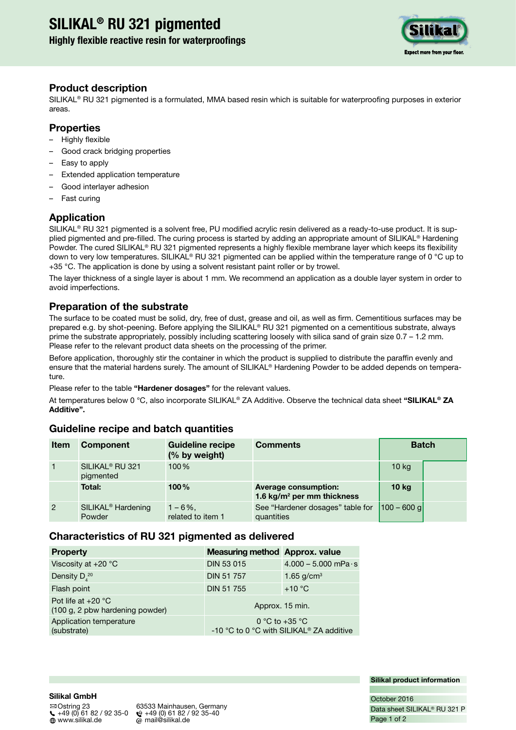# **SILIKAL® RU 321 pigmented**

# **Highly flexible reactive resin for waterproofings**



# **Product description**

SILIKAL® RU 321 pigmented is a formulated, MMA based resin which is suitable for waterproofing purposes in exterior areas.

# **Properties**

- Highly flexible
- Good crack bridging properties
- Easy to apply
- Extended application temperature
- Good interlayer adhesion
- Fast curing

# **Application**

SILIKAL<sup>®</sup> RU 321 pigmented is a solvent free, PU modified acrylic resin delivered as a ready-to-use product. It is supplied pigmented and pre-filled. The curing process is started by adding an appropriate amount of SILIKAL® Hardening Powder. The cured SILIKAL® RU 321 pigmented represents a highly flexible membrane layer which keeps its flexibility down to very low temperatures. SILIKAL<sup>®</sup> RU 321 pigmented can be applied within the temperature range of 0 °C up to +35 °C. The application is done by using a solvent resistant paint roller or by trowel.

The layer thickness of a single layer is about 1 mm. We recommend an application as a double layer system in order to avoid imperfections.

# **Preparation of the substrate**

The surface to be coated must be solid, dry, free of dust, grease and oil, as well as firm. Cementitious surfaces may be prepared e.g. by shot-peening. Before applying the SILIKAL® RU 321 pigmented on a cementitious substrate, always prime the substrate appropriately, possibly including scattering loosely with silica sand of grain size 0.7 – 1.2 mm. Please refer to the relevant product data sheets on the processing of the primer.

Before application, thoroughly stir the container in which the product is supplied to distribute the paraffin evenly and ensure that the material hardens surely. The amount of SILIKAL® Hardening Powder to be added depends on temperature.

Please refer to the table **"Hardener dosages"** for the relevant values.

At temperatures below 0 °C, also incorporate SILIKAL® ZA Additive. Observe the technical data sheet **"SILIKAL® ZA Additive".**

# **Guideline recipe and batch quantities**

| <b>Item</b>    | <b>Component</b>                         | <b>Guideline recipe</b><br>(% by weight) | <b>Comments</b>                                                       | <b>Batch</b>     |  |
|----------------|------------------------------------------|------------------------------------------|-----------------------------------------------------------------------|------------------|--|
|                | SILIKAL <sup>®</sup> RU 321<br>pigmented | $100\%$                                  |                                                                       | 10 <sub>kg</sub> |  |
|                | Total:                                   | $100\%$                                  | <b>Average consumption:</b><br>1.6 kg/m <sup>2</sup> per mm thickness | 10 <sub>kg</sub> |  |
| $\overline{2}$ | SILIKAL <sup>®</sup> Hardening<br>Powder | $1 - 6\%$ .<br>related to item 1         | See "Hardener dosages" table for<br>quantities                        | $ 100 - 600$ q   |  |

# **Characteristics of RU 321 pigmented as delivered**

| <b>Property</b>                                         | <b>Measuring method Approx. value</b>                                  |                               |
|---------------------------------------------------------|------------------------------------------------------------------------|-------------------------------|
| Viscosity at +20 °C                                     | <b>DIN 53 015</b>                                                      | $4.000 - 5.000$ mPa $\cdot$ s |
| Density $D_4^{\ 20}$                                    | <b>DIN 51 757</b>                                                      | 1.65 $g/cm^{3}$               |
| Flash point                                             | <b>DIN 51 755</b>                                                      | $+10 °C$                      |
| Pot life at $+20$ °C<br>(100 g, 2 pbw hardening powder) | Approx. 15 min.                                                        |                               |
| Application temperature<br>(substrate)                  | 0 °C to +35 °C<br>-10 °C to 0 °C with SILIKAL <sup>®</sup> ZA additive |                               |

**Silikal product information**

# **Silikal GmbH**

 Ostring 23 63533 Mainhausen, Germany  $\binom{49}{4}$  +49 (0) 61 82 / 92 35-0  $\binom{49}{4}$  +49 (0) 61 82 / 92 35-40<br>  $\binom{49}{4}$  www.silikal.de  $\binom{49}{4}$  mail@silikal.de  $\omega$  mail@silikal.de

Page 1 of 2 Data sheet SILIKAL® RU 321 P October 2016